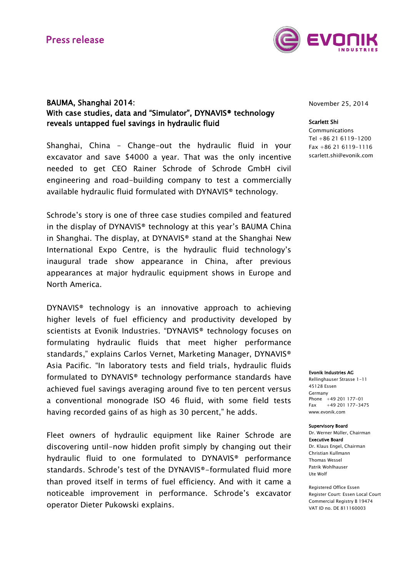

## BAUMA, Shanghai 2014: With case studies, data and "Simulator", DYNAVIS® technology reveals untapped fuel savings in hydraulic fluid

Shanghai, China – Change-out the hydraulic fluid in your excavator and save \$4000 a year. That was the only incentive needed to get CEO Rainer Schrode of Schrode GmbH civil engineering and road-building company to test a commercially available hydraulic fluid formulated with DYNAVIS® technology.

Schrode's story is one of three case studies compiled and featured in the display of DYNAVIS® technology at this year's BAUMA China in Shanghai. The display, at DYNAVIS® stand at the Shanghai New International Expo Centre, is the hydraulic fluid technology's inaugural trade show appearance in China, after previous appearances at major hydraulic equipment shows in Europe and North America.

DYNAVIS® technology is an innovative approach to achieving higher levels of fuel efficiency and productivity developed by scientists at Evonik Industries. "DYNAVIS® technology focuses on formulating hydraulic fluids that meet higher performance standards," explains Carlos Vernet, Marketing Manager, DYNAVIS® Asia Pacific. "In laboratory tests and field trials, hydraulic fluids formulated to DYNAVIS® technology performance standards have achieved fuel savings averaging around five to ten percent versus a conventional monograde ISO 46 fluid, with some field tests having recorded gains of as high as 30 percent," he adds.

Fleet owners of hydraulic equipment like Rainer Schrode are discovering until-now hidden profit simply by changing out their hydraulic fluid to one formulated to DYNAVIS® performance standards. Schrode's test of the DYNAVIS®-formulated fluid more than proved itself in terms of fuel efficiency. And with it came a noticeable improvement in performance. Schrode's excavator operator Dieter Pukowski explains.

November 25, 2014

#### Scarlett Shi

Communications Tel +86 21 6119-1200 Fax +86 21 6119-1116 scarlett.shi@evonik.com

#### Evonik Industries AG

Rellinghauser Strasse 1-11 45128 Essen Germany Phone +49 201 177-01 Fax +49 201 177-3475 www.evonik.com

#### Supervisory Board

Dr. Werner Müller, Chairman Executive Board Dr. Klaus Engel, Chairman Christian Kullmann Thomas Wessel Patrik Wohlhauser Ute Wolf

Registered Office Essen Register Court: Essen Local Court Commercial Registry B 19474 VAT ID no. DE 811160003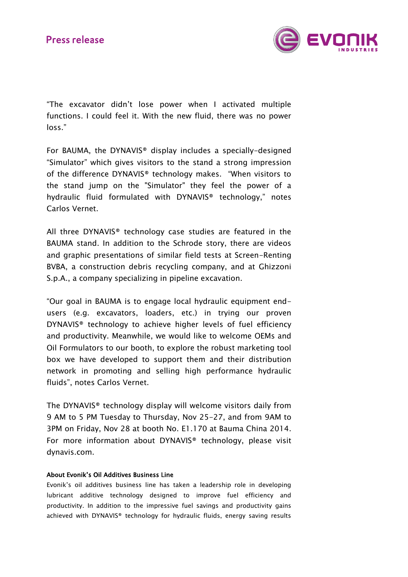

"The excavator didn't lose power when I activated multiple functions. I could feel it. With the new fluid, there was no power loss."

For BAUMA, the DYNAVIS® display includes a specially-designed "Simulator" which gives visitors to the stand a strong impression of the difference DYNAVIS® technology makes. "When visitors to the stand jump on the "Simulator" they feel the power of a hydraulic fluid formulated with DYNAVIS® technology," notes Carlos Vernet.

All three DYNAVIS® technology case studies are featured in the BAUMA stand. In addition to the Schrode story, there are videos and graphic presentations of similar field tests at Screen-Renting BVBA, a construction debris recycling company, and at Ghizzoni S.p.A., a company specializing in pipeline excavation.

"Our goal in BAUMA is to engage local hydraulic equipment endusers (e.g. excavators, loaders, etc.) in trying our proven DYNAVIS® technology to achieve higher levels of fuel efficiency and productivity. Meanwhile, we would like to welcome OEMs and Oil Formulators to our booth, to explore the robust marketing tool box we have developed to support them and their distribution network in promoting and selling high performance hydraulic fluids", notes Carlos Vernet.

The DYNAVIS® technology display will welcome visitors daily from 9 AM to 5 PM Tuesday to Thursday, Nov 25-27, and from 9AM to 3PM on Friday, Nov 28 at booth No. E1.170 at Bauma China 2014. For more information about DYNAVIS® technology, please visit dynavis.com.

### About Evonik's Oil Additives Business Line

Evonik's oil additives business line has taken a leadership role in developing lubricant additive technology designed to improve fuel efficiency and productivity. In addition to the impressive fuel savings and productivity gains achieved with DYNAVIS® technology for hydraulic fluids, energy saving results